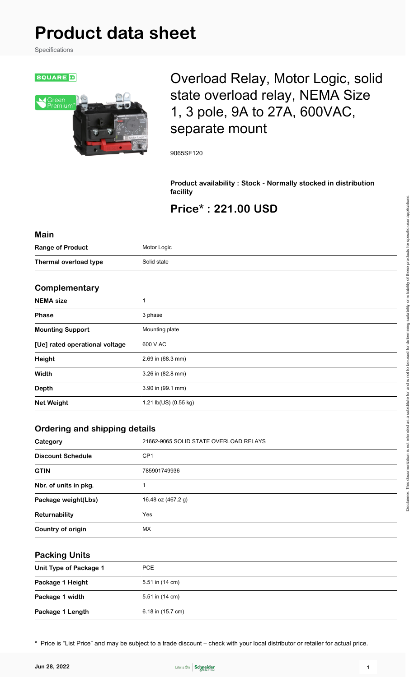# **Product data sheet**

Specifications



# Overload Relay, Motor Logic, solid state overload relay, NEMA Size 1, 3 pole, 9A to 27A, 600VAC, separate mount

9065SF120

**Product availability : Stock - Normally stocked in distribution facility**

## **Price\* : 221.00 USD**

#### **Main**

| <b>Range of Product</b> | Motor Logic |
|-------------------------|-------------|
| Thermal overload type   | Solid state |

#### **Complementary**

| <b>NEMA</b> size               |                       |
|--------------------------------|-----------------------|
|                                |                       |
| <b>Phase</b>                   | 3 phase               |
| <b>Mounting Support</b>        | Mounting plate        |
| [Ue] rated operational voltage | 600 V AC              |
| Height                         | 2.69 in (68.3 mm)     |
| Width                          | 3.26 in (82.8 mm)     |
| <b>Depth</b>                   | 3.90 in (99.1 mm)     |
| <b>Net Weight</b>              | 1.21 lb(US) (0.55 kg) |

#### **Ordering and shipping details**

| Category                 | 21662-9065 SOLID STATE OVERLOAD RELAYS |
|--------------------------|----------------------------------------|
| <b>Discount Schedule</b> | CP <sub>1</sub>                        |
| <b>GTIN</b>              | 785901749936                           |
| Nbr. of units in pkg.    |                                        |
| Package weight(Lbs)      | 16.48 oz (467.2 g)                     |
| Returnability            | Yes                                    |
| Country of origin        | <b>MX</b>                              |

#### **Packing Units**

| Unit Type of Package 1 | <b>PCE</b>        |
|------------------------|-------------------|
| Package 1 Height       | 5.51 in (14 cm)   |
| Package 1 width        | 5.51 in (14 cm)   |
| Package 1 Length       | 6.18 in (15.7 cm) |

\* Price is "List Price" and may be subject to a trade discount – check with your local distributor or retailer for actual price.